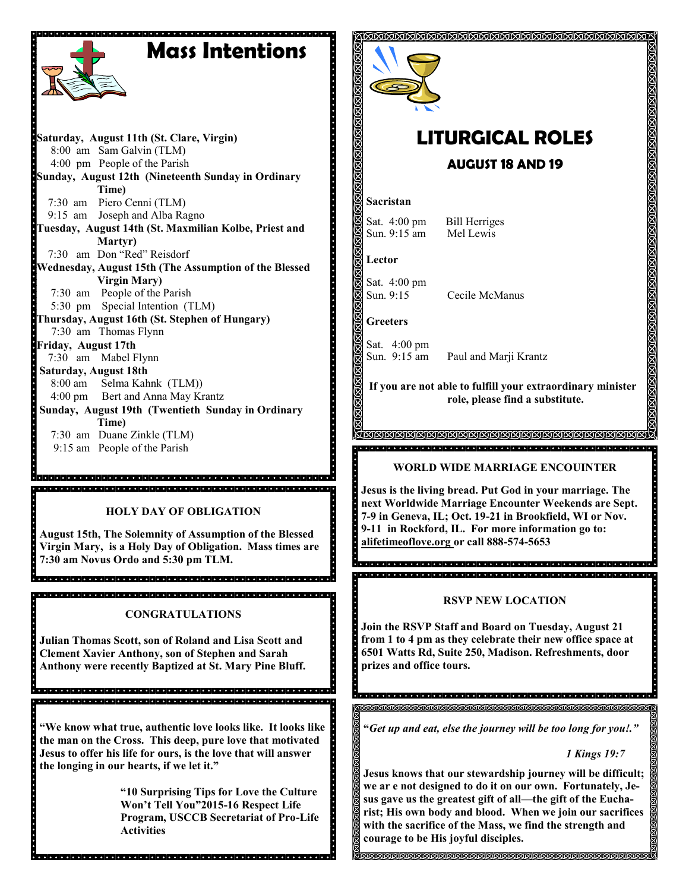# **Mass Intentions**

**Saturday, August 11th (St. Clare, Virgin)** 8:00 am Sam Galvin (TLM) 4:00 pm People of the Parish **Sunday, August 12th (Nineteenth Sunday in Ordinary Time)** 7:30 am Piero Cenni (TLM) 9:15 am Joseph and Alba Ragno **Tuesday, August 14th (St. Maxmilian Kolbe, Priest and Martyr)** 7:30 am Don "Red" Reisdorf **Wednesday, August 15th (The Assumption of the Blessed Virgin Mary)** 7:30 am People of the Parish 5:30 pm Special Intention (TLM) **Thursday, August 16th (St. Stephen of Hungary)** 7:30 am Thomas Flynn **Friday, August 17th** 7:30 am Mabel Flynn **Saturday, August 18th**  8:00 am Selma Kahnk (TLM)) 4:00 pm Bert and Anna May Krantz **Sunday, August 19th (Twentieth Sunday in Ordinary Time)** 7:30 am Duane Zinkle (TLM) 9:15 am People of the Parish a di secondo della contra della contra della contra della contra della contra della contra della

#### **HOLY DAY OF OBLIGATION**

**August 15th, The Solemnity of Assumption of the Blessed Virgin Mary, is a Holy Day of Obligation. Mass times are 7:30 am Novus Ordo and 5:30 pm TLM.** 

### **CONGRATULATIONS**

**Julian Thomas Scott, son of Roland and Lisa Scott and Clement Xavier Anthony, son of Stephen and Sarah Anthony were recently Baptized at St. Mary Pine Bluff.** 

a la latata tatala tatala tatala tatala tatala tatala tatala tatala tatala tatala tatala tatala tatala tatala 

**"We know what true, authentic love looks like. It looks like the man on the Cross. This deep, pure love that motivated Jesus to offer his life for ours, is the love that will answer the longing in our hearts, if we let it."**

**"10 Surprising Tips for Love the Culture Won't Tell You"2015-16 Respect Life Program, USCCB Secretariat of Pro-Life Activities** 



## **LITURGICAL ROLES AUGUST 18 AND 19**

#### **Sacristan**

Sat. 4:00 pm Bill Herriges Sun. 9:15 am Mel Lewis

**Lector**

Sat. 4:00 pm Sun. 9:15 Cecile McManus

**Greeters**

H.,

Sat. 4:00 pm

Sun. 9:15 am Paul and Marji Krantz

**If you are not able to fulfill your extraordinary minister role, please find a substitute.** 

#### <u>general de la completa de la completa de la completa de la completa de la completa de la completa de la completa de la completa de la completa de la completa de la completa de la completa de la completa de la completa de </u>

#### **WORLD WIDE MARRIAGE ENCOUINTER**

**Jesus is the living bread. Put God in your marriage. The next Worldwide Marriage Encounter Weekends are Sept. 7-9 in Geneva, IL; Oct. 19-21 in Brookfield, WI or Nov. 9-11 in Rockford, IL. For more information go to: alifetimeoflove.org or call 888-574-5653**

#### **RSVP NEW LOCATION**

a a ciercio de dicio de de de dicio de dicio de dicio de dicio de dicio de dicio de dicio de dicio de dicio de

 $\cdot$ **Join the RSVP Staff and Board on Tuesday, August 21 from 1 to 4 pm as they celebrate their new office space at 6501 Watts Rd, Suite 250, Madison. Refreshments, door prizes and office tours.**

**"***Get up and eat, else the journey will be too long for you!."*

#### *1 Kings 19:7*

**Jesus knows that our stewardship journey will be difficult; we ar e not designed to do it on our own. Fortunately, Jesus gave us the greatest gift of all—the gift of the Eucharist; His own body and blood. When we join our sacrifices with the sacrifice of the Mass, we find the strength and courage to be His joyful disciples.**